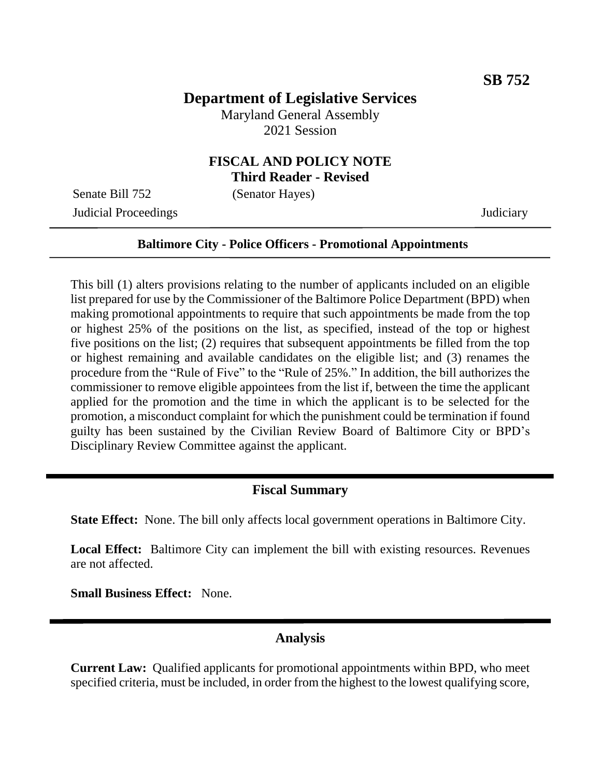# **Department of Legislative Services**

Maryland General Assembly 2021 Session

## **FISCAL AND POLICY NOTE Third Reader - Revised**

Senate Bill 752 (Senator Hayes)

Judicial Proceedings Judiciary

#### **Baltimore City - Police Officers - Promotional Appointments**

This bill (1) alters provisions relating to the number of applicants included on an eligible list prepared for use by the Commissioner of the Baltimore Police Department (BPD) when making promotional appointments to require that such appointments be made from the top or highest 25% of the positions on the list, as specified, instead of the top or highest five positions on the list; (2) requires that subsequent appointments be filled from the top or highest remaining and available candidates on the eligible list; and (3) renames the procedure from the "Rule of Five" to the "Rule of 25%." In addition, the bill authorizes the commissioner to remove eligible appointees from the list if, between the time the applicant applied for the promotion and the time in which the applicant is to be selected for the promotion, a misconduct complaint for which the punishment could be termination if found guilty has been sustained by the Civilian Review Board of Baltimore City or BPD's Disciplinary Review Committee against the applicant.

### **Fiscal Summary**

**State Effect:** None. The bill only affects local government operations in Baltimore City.

**Local Effect:** Baltimore City can implement the bill with existing resources. Revenues are not affected.

**Small Business Effect:** None.

## **Analysis**

**Current Law:** Qualified applicants for promotional appointments within BPD, who meet specified criteria, must be included, in order from the highest to the lowest qualifying score,